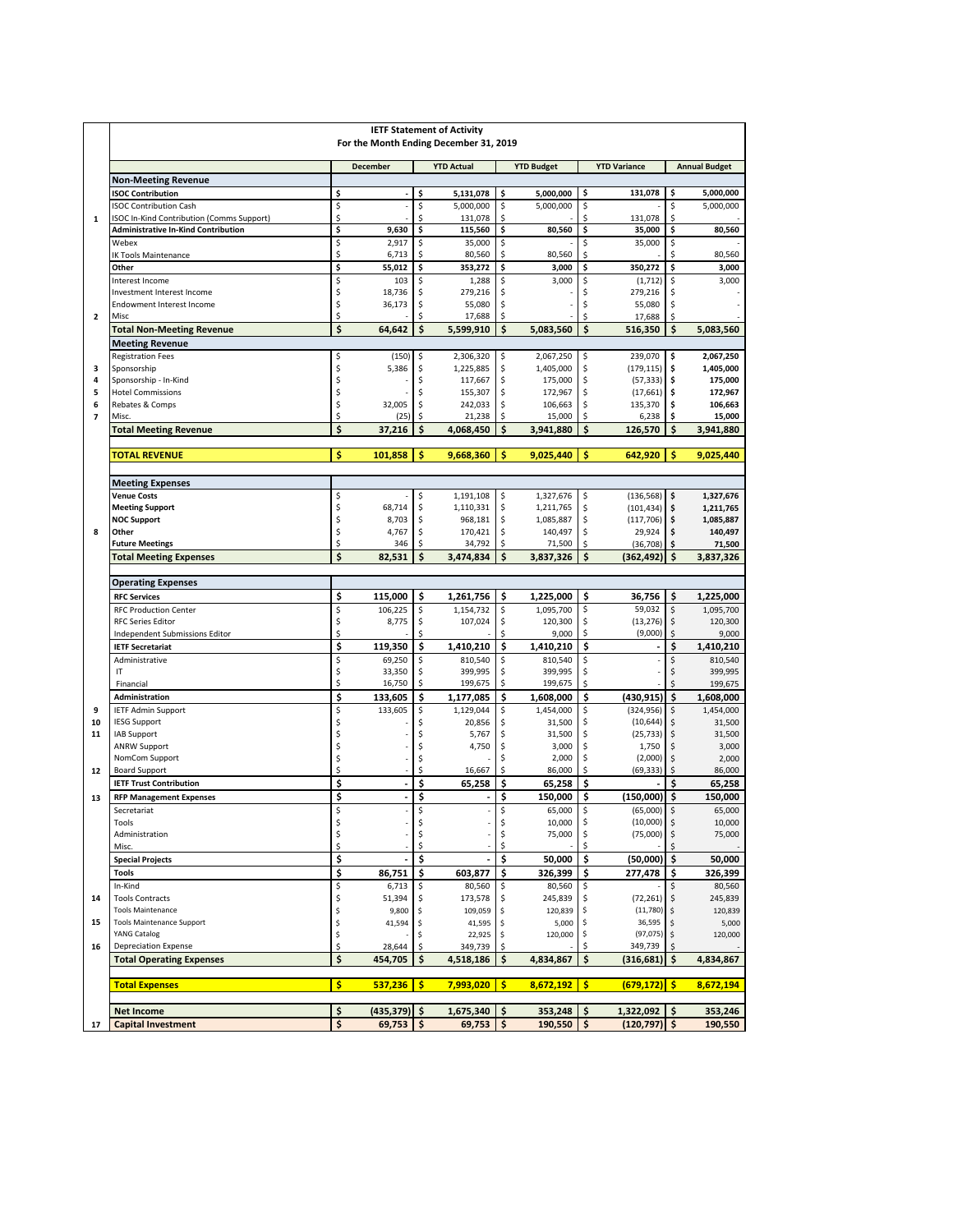|                               | <b>IETF Statement of Activity</b><br>For the Month Ending December 31, 2019 |          |                      |          |                        |          |                        |          |                          |          |                        |
|-------------------------------|-----------------------------------------------------------------------------|----------|----------------------|----------|------------------------|----------|------------------------|----------|--------------------------|----------|------------------------|
|                               |                                                                             |          | <b>December</b>      |          | <b>YTD Actual</b>      |          | <b>YTD Budget</b>      |          | <b>YTD Variance</b>      |          | <b>Annual Budget</b>   |
|                               | <b>Non-Meeting Revenue</b>                                                  |          |                      |          |                        |          |                        |          |                          |          |                        |
|                               | <b>ISOC Contribution</b>                                                    | \$       |                      | \$       | 5,131,078              | \$       | 5,000,000              | \$       | 131,078                  | \$       | 5,000,000              |
| $\mathbf{1}$                  | <b>ISOC Contribution Cash</b><br>ISOC In-Kind Contribution (Comms Support)  | \$<br>\$ |                      | \$<br>Ś  | 5,000,000<br>131,078   | \$<br>\$ | 5,000,000              | \$<br>\$ | 131.078                  | \$<br>\$ | 5,000,000              |
|                               | <b>Administrative In-Kind Contribution</b>                                  | \$       | 9,630                | \$       | 115,560                | \$       | 80,560                 | \$       | 35,000                   | \$       | 80,560                 |
|                               | Webex                                                                       | \$       | 2,917                | \$       | 35,000                 | \$       |                        | \$       | 35,000                   | \$       |                        |
|                               | IK Tools Maintenance                                                        | \$       | 6,713                | \$       | 80,560                 | \$       | 80,560                 | \$       |                          | \$       | 80,560                 |
|                               | Other                                                                       | \$       | 55,012               | \$       | 353,272                | \$       | 3,000                  | \$       | 350,272                  | \$       | 3,000                  |
|                               | Interest Income                                                             | \$       | 103                  | \$       | 1,288                  | \$       | 3,000                  | \$       | (1, 712)                 | \$       | 3,000                  |
|                               | Investment Interest Income<br><b>Endowment Interest Income</b>              | \$<br>\$ | 18,736               | \$       | 279,216<br>55,080      | \$<br>\$ |                        | \$<br>\$ | 279,216<br>55,080        | \$<br>\$ |                        |
| $\overline{2}$                | Misc                                                                        | \$       | 36,173               | \$<br>Ś  | 17,688                 | \$       |                        | \$       | 17,688                   | \$       |                        |
|                               | <b>Total Non-Meeting Revenue</b>                                            | \$       | 64,642               | \$       | 5,599,910              | \$       | 5,083,560              | \$       | 516,350                  | \$       | 5,083,560              |
|                               | <b>Meeting Revenue</b>                                                      |          |                      |          |                        |          |                        |          |                          |          |                        |
|                               | <b>Registration Fees</b>                                                    | \$       | (150)                | \$       | 2,306,320              | \$       | 2,067,250              | \$       | 239,070                  | \$       | 2,067,250              |
| з                             | Sponsorship                                                                 | \$       | 5,386                | \$       | 1,225,885              | \$       | 1,405,000              | \$       | (179, 115)               | \$       | 1,405,000              |
| 4                             | Sponsorship - In-Kind                                                       | \$       |                      | \$       | 117,667                | \$       | 175,000                | \$       | (57, 333)                | \$       | 175,000                |
| 5                             | <b>Hotel Commissions</b>                                                    | \$       |                      | Ś        | 155,307                | \$       | 172,967                | \$       | (17,661)                 | \$.      | 172,967                |
| 6<br>$\overline{\phantom{a}}$ | Rebates & Comps<br>Misc                                                     | \$<br>\$ | 32,005<br>(25)       | \$<br>\$ | 242,033<br>21,238      | \$<br>\$ | 106,663<br>15,000      | \$<br>\$ | 135,370<br>6,238         | \$<br>\$ | 106,663<br>15,000      |
|                               | <b>Total Meeting Revenue</b>                                                | \$       | 37,216               | \$       | 4,068,450              | \$       | 3,941,880              | \$       | 126,570                  | \$       | 3,941,880              |
|                               |                                                                             |          |                      |          |                        |          |                        |          |                          |          |                        |
|                               | <b>TOTAL REVENUE</b>                                                        | \$       | 101,858              | \$       | 9,668,360              | \$       | 9,025,440              | Ś        | 642,920                  | Ś        | 9,025,440              |
|                               | <b>Meeting Expenses</b>                                                     |          |                      |          |                        |          |                        |          |                          |          |                        |
|                               | <b>Venue Costs</b>                                                          | \$<br>\$ |                      | \$<br>\$ | 1,191,108<br>1,110,331 | \$<br>\$ | 1,327,676              | \$<br>\$ | (136, 568)<br>(101, 434) | \$       | 1,327,676<br>1,211,765 |
|                               | <b>Meeting Support</b><br><b>NOC Support</b>                                | \$       | 68,714<br>8,703      | \$       | 968,181                | \$       | 1,211,765<br>1,085,887 | \$       | (117, 706)               | \$<br>\$ | 1,085,887              |
| 8                             | Other                                                                       | \$       | 4,767                | \$       | 170,421                | \$       | 140,497                | \$       | 29,924                   | \$       | 140,497                |
|                               | <b>Future Meetings</b>                                                      | \$       | 346                  | \$       | 34,792                 | \$       | 71,500                 | \$       | (36, 708)                | \$       | 71,500                 |
|                               | <b>Total Meeting Expenses</b>                                               | \$       | 82,531               | Ś        | 3,474,834              | Ś        | 3,837,326              | \$       | (362, 492)               | Ś        | 3,837,326              |
|                               | <b>Operating Expenses</b>                                                   |          |                      |          |                        |          |                        |          |                          |          |                        |
|                               | <b>RFC Services</b>                                                         | \$       | 115,000              | \$       | 1,261,756              | \$       | 1,225,000              | \$       | 36,756                   | \$       | 1,225,000              |
|                               | <b>RFC Production Center</b>                                                | \$       | 106,225              | \$       | 1,154,732              | \$       | 1,095,700              | \$       | 59,032                   | \$       | 1,095,700              |
|                               | <b>RFC Series Editor</b>                                                    | \$       | 8,775                | \$       | 107,024                | \$       | 120,300                | \$       | (13, 276)                | \$       | 120,300                |
|                               | Independent Submissions Editor                                              | \$       |                      | Ś        |                        | \$       | 9,000                  | \$       | (9,000)                  | \$       | 9,000                  |
|                               | <b>IETF Secretariat</b>                                                     | \$       | 119,350              | \$       | 1,410,210              | \$       | 1,410,210              | \$       |                          | \$       | 1,410,210              |
|                               | Administrative                                                              | \$       | 69,250               | \$       | 810,540                | \$       | 810,540                | \$       |                          | \$       | 810,540                |
|                               | IT                                                                          | \$<br>\$ | 33,350<br>16,750     | Ś<br>\$  | 399,995<br>199,675     | \$<br>\$ | 399,995<br>199,675     | \$<br>\$ |                          | \$<br>\$ | 399,995                |
|                               | Financial<br>Administration                                                 | \$       | 133,605              | \$       | 1,177,085              | \$       | 1,608,000              | \$       | (430, 915)               | \$       | 199,675<br>1,608,000   |
| 9                             | <b>IETF Admin Support</b>                                                   | \$       | 133,605              | \$       | 1,129,044              | \$       | 1,454,000              | \$       | (324, 956)               | \$       | 1,454,000              |
| 10                            | <b>IESG Support</b>                                                         | \$       |                      | \$       | 20,856                 | \$       | 31,500                 | \$       | (10, 644)                | \$       | 31,500                 |
| 11                            | <b>IAB Support</b>                                                          | \$       |                      | \$       | 5,767                  | \$       | 31,500                 | \$       | (25, 733)                | \$       | 31,500                 |
|                               | <b>ANRW Support</b>                                                         | \$       |                      | Ś        | 4,750                  | \$       | 3,000                  | \$       | 1,750                    | \$       | 3,000                  |
|                               | NomCom Support                                                              | \$<br>\$ |                      | \$       |                        | \$       | 2,000                  | \$       | (2,000)                  | \$       | 2,000                  |
| 12                            | <b>Board Support</b><br><b>IETF Trust Contribution</b>                      | \$       | $\overline{a}$       | \$<br>\$ | 16,667<br>65,258       | \$<br>\$ | 86,000<br>65,258       | \$<br>\$ | (69, 333)                | Ŝ.<br>Ś  | 86,000<br>65,258       |
| 13                            | <b>RFP Management Expenses</b>                                              | \$       | $\ddot{\phantom{1}}$ | \$       | ٠                      | \$       | 150,000                | \$       | (150,000)                | \$       | 150,000                |
|                               | Secretariat                                                                 | Ś        |                      | \$       |                        | \$       | 65,000                 | \$       | (65,000)                 | \$       | 65,000                 |
|                               | Tools                                                                       | \$       |                      | \$       |                        | \$       | 10,000                 | \$       | (10,000)                 | \$       | 10,000                 |
|                               | Administration                                                              | \$       |                      | \$       |                        | \$       | 75,000                 | \$       | (75,000)                 | \$       | 75,000                 |
|                               | Misc.                                                                       | \$       |                      | Ś        |                        | \$       |                        |          |                          |          |                        |
|                               | <b>Special Projects</b>                                                     | \$       |                      | \$       |                        | \$       | 50,000                 | \$       | $(50,000)$ \$            |          | 50,000                 |
|                               | <b>Tools</b>                                                                | \$       | 86,751               | \$       | 603,877                | \$       | 326,399                | \$       | 277,478                  | \$       | 326,399                |
| 14                            | In-Kind<br><b>Tools Contracts</b>                                           | \$<br>\$ | 6,713<br>51,394      | \$<br>\$ | 80,560<br>173,578      | \$<br>\$ | 80,560<br>245,839      | \$<br>\$ | (72, 261)                | \$<br>\$ | 80,560<br>245,839      |
|                               | <b>Tools Maintenance</b>                                                    | \$       | 9,800                | \$       | 109,059                | \$       | 120,839                | \$       | (11,780)                 | \$       | 120,839                |
| 15                            | <b>Tools Maintenance Support</b>                                            | \$       | 41,594               | \$       | 41,595                 | \$       | 5,000                  | \$       | 36,595                   | \$       | 5,000                  |
|                               | YANG Catalog                                                                | \$       |                      |          | 22,925                 | \$       | 120,000                | \$       | (97, 075)                | \$       | 120,000                |
| 16                            | <b>Depreciation Expense</b>                                                 | \$       | 28,644               | \$       | 349,739                |          |                        | Ś        | 349,739                  | \$       |                        |
|                               | <b>Total Operating Expenses</b>                                             | \$       | 454,705              | \$       | 4,518,186              | \$       | 4,834,867              | \$       | (316, 681)               | \$       | 4,834,867              |
|                               | <b>Total Expenses</b>                                                       | \$       | 537,236              | -\$      | 7,993,020              | \$       | 8,672,192              | \$       | $(679, 172)$ \$          |          | 8,672,194              |
|                               | <b>Net Income</b>                                                           | \$       | (435,379)  \$        |          | 1,675,340              | \$       | 353,248                | \$       | 1,322,092                | \$       | 353,246                |
| 17                            | <b>Capital Investment</b>                                                   | \$       | $69,753$ \$          |          | $69,753$   \$          |          | $190,550$   \$         |          | $(120, 797)$ \$          |          | 190,550                |